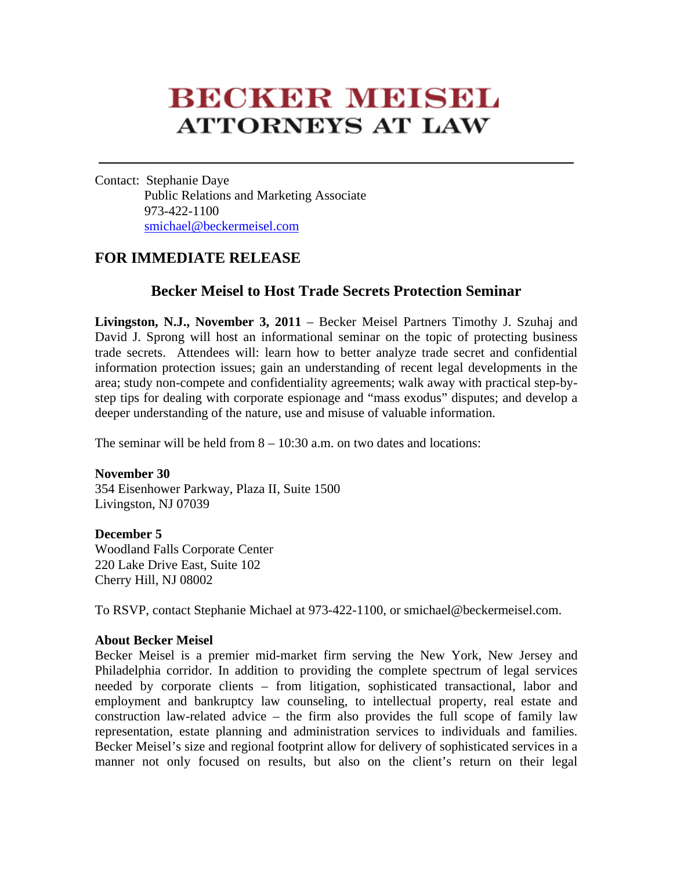## **BECKER MEISEL ATTORNEYS AT LAW**

Contact: Stephanie Daye Public Relations and Marketing Associate 973-422-1100 smichael@beckermeisel.com

## **FOR IMMEDIATE RELEASE**

## **Becker Meisel to Host Trade Secrets Protection Seminar**

**Livingston, N.J., November 3, 2011** – Becker Meisel Partners Timothy J. Szuhaj and David J. Sprong will host an informational seminar on the topic of protecting business trade secrets. Attendees will: learn how to better analyze trade secret and confidential information protection issues; gain an understanding of recent legal developments in the area; study non-compete and confidentiality agreements; walk away with practical step-bystep tips for dealing with corporate espionage and "mass exodus" disputes; and develop a deeper understanding of the nature, use and misuse of valuable information.

The seminar will be held from  $8 - 10:30$  a.m. on two dates and locations:

**November 30**  354 Eisenhower Parkway, Plaza II, Suite 1500

Livingston, NJ 07039

**December 5** 

Woodland Falls Corporate Center 220 Lake Drive East, Suite 102 Cherry Hill, NJ 08002

To RSVP, contact Stephanie Michael at 973-422-1100, or smichael@beckermeisel.com.

## **About Becker Meisel**

Becker Meisel is a premier mid-market firm serving the New York, New Jersey and Philadelphia corridor. In addition to providing the complete spectrum of legal services needed by corporate clients – from litigation, sophisticated transactional, labor and employment and bankruptcy law counseling, to intellectual property, real estate and construction law-related advice – the firm also provides the full scope of family law representation, estate planning and administration services to individuals and families. Becker Meisel's size and regional footprint allow for delivery of sophisticated services in a manner not only focused on results, but also on the client's return on their legal